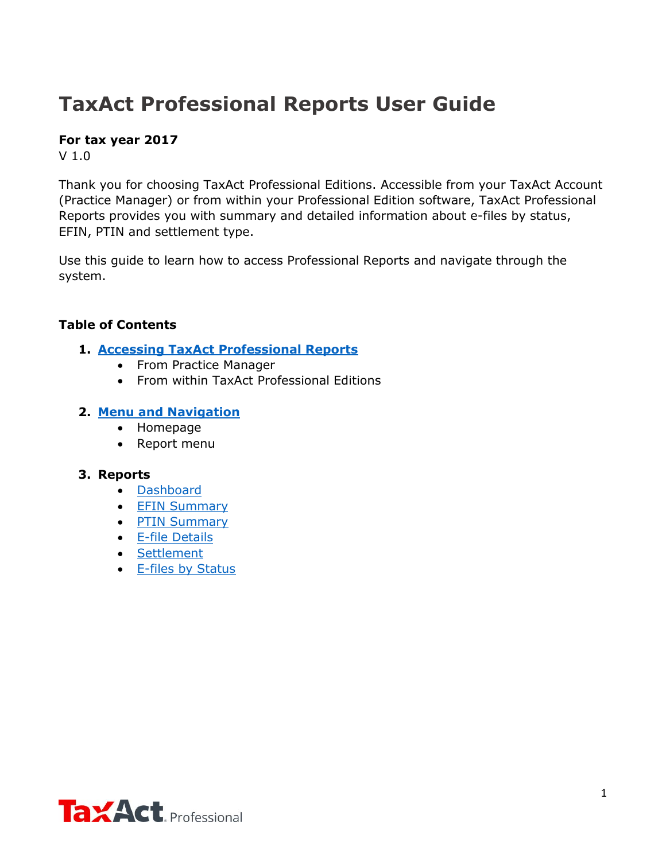# **TaxAct Professional Reports User Guide**

## **For tax year 2017**

V 1.0

Thank you for choosing TaxAct Professional Editions. Accessible from your TaxAct Account (Practice Manager) or from within your Professional Edition software, TaxAct Professional Reports provides you with summary and detailed information about e-files by status, EFIN, PTIN and settlement type.

Use this guide to learn how to access Professional Reports and navigate through the system.

## **Table of Contents**

- **1. [Accessing TaxAct Professional Reports](#page-1-0)**
	- From Practice Manager
	- From within TaxAct Professional Editions

## **2. [Menu and Navigation](#page-1-1)**

- Homepage
- Report menu

## **3. Reports**

- [Dashboard](#page-2-0)
- **[EFIN Summary](#page-4-0)**
- [PTIN Summary](#page-5-0)
- [E-file Details](#page-6-0)
- [Settlement](#page-8-0)
- [E-files by Status](#page-8-1)

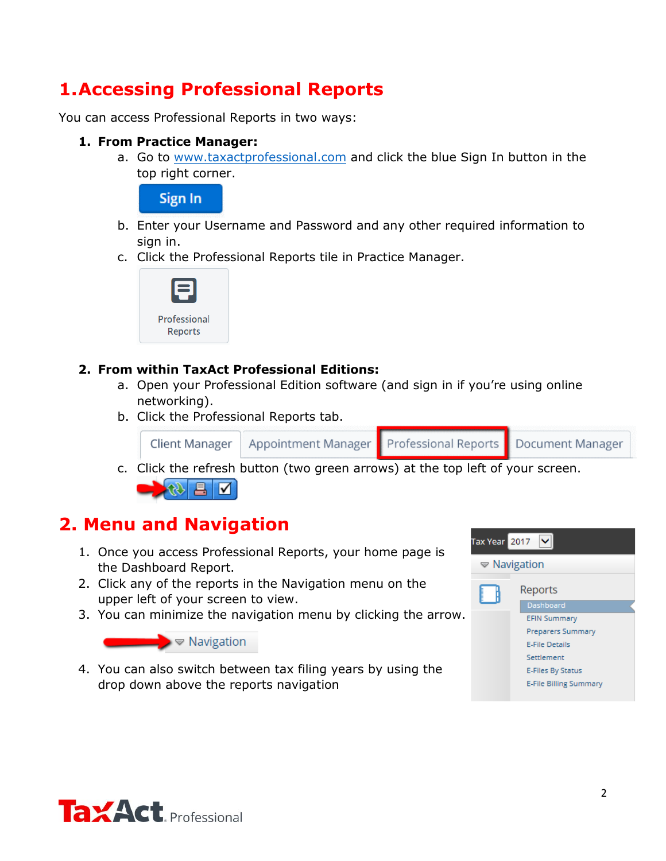## **1.Accessing Professional Reports**

You can access Professional Reports in two ways:

### **1. From Practice Manager:**

a. Go to [www.taxactprofessional.com](https://www.taxact.com/professional/) and click the blue Sign In button in the top right corner.

<span id="page-1-0"></span>Sign In

- b. Enter your Username and Password and any other required information to sign in.
- c. Click the Professional Reports tile in Practice Manager.



## **2. From within TaxAct Professional Editions:**

- a. Open your Professional Edition software (and sign in if you're using online networking).
- b. Click the Professional Reports tab.



c. Click the refresh button (two green arrows) at the top left of your screen.

<span id="page-1-1"></span>

## **2. Menu and Navigation**

- 1. Once you access Professional Reports, your home page is the Dashboard Report.
- 2. Click any of the reports in the Navigation menu on the upper left of your screen to view.
- 3. You can minimize the navigation menu by clicking the arrow.



4. You can also switch between tax filing years by using the drop down above the reports navigation



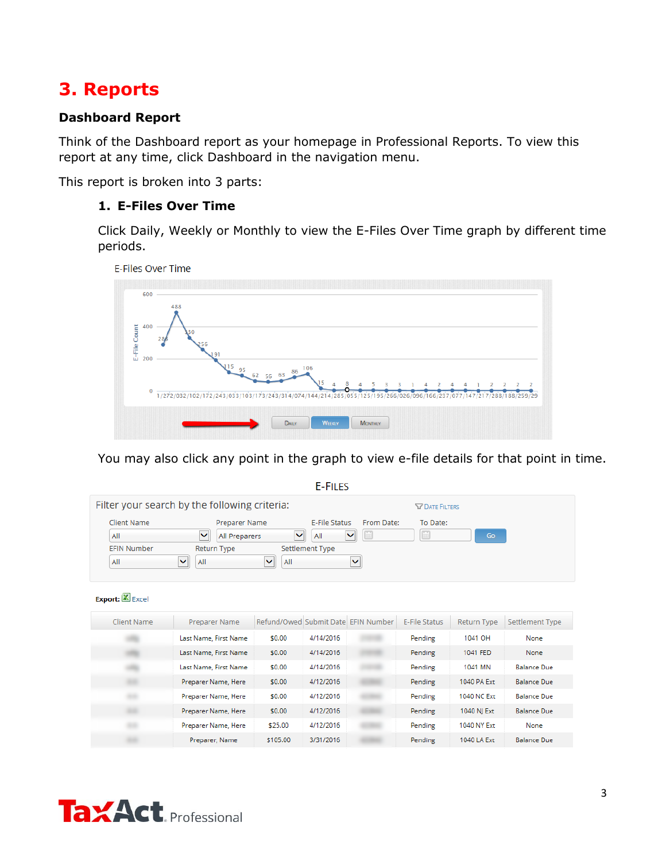## **3. Reports**

## <span id="page-2-0"></span>**Dashboard Report**

Think of the Dashboard report as your homepage in Professional Reports. To view this report at any time, click Dashboard in the navigation menu.

This report is broken into 3 parts:

## **1. E-Files Over Time**

Click Daily, Weekly or Monthly to view the E-Files Over Time graph by different time periods.





You may also click any point in the graph to view e-file details for that point in time.

**E-FILES** 

|                    | Filter your search by the following criteria: |                          |            | <b>V DATE FILTERS</b> |    |
|--------------------|-----------------------------------------------|--------------------------|------------|-----------------------|----|
| Client Name        | Preparer Name                                 | <b>F-File Status</b>     | From Date: | To Date:              |    |
| All                | All Preparers                                 | ◡<br>$\checkmark$<br>All |            |                       | Go |
| <b>EFIN Number</b> | Return Type                                   | Settlement Type          |            |                       |    |
| All                | ◡<br>All                                      | $\mathbf{v}$<br>All      |            |                       |    |

#### Export: Excel

| Client Name | Preparer Name         |          |           | Refund/Owed Submit Date EFIN Number | E-File Status | <b>Return Type</b> | Settlement Type    |
|-------------|-----------------------|----------|-----------|-------------------------------------|---------------|--------------------|--------------------|
|             | Last Name, First Name | \$0.00   | 4/14/2016 |                                     | Pending       | 1041 OH            | None               |
|             | Last Name, First Name | \$0.00   | 4/14/2016 |                                     | Pending       | 1041 FED           | None               |
|             | Last Name, First Name | \$0.00   | 4/14/2016 |                                     | Pending       | 1041 MN            | <b>Balance Due</b> |
|             | Preparer Name, Here   | \$0.00   | 4/12/2016 |                                     | Pending       | 1040 PA Ext        | <b>Balance Due</b> |
|             | Preparer Name, Here   | \$0.00   | 4/12/2016 |                                     | Pending       | 1040 NC Ext        | <b>Balance Due</b> |
|             | Preparer Name, Here   | \$0.00   | 4/12/2016 |                                     | Pending       | 1040 NI Ext        | <b>Balance Due</b> |
|             | Preparer Name, Here   | \$25.00  | 4/12/2016 |                                     | Pending       | 1040 NY Ext        | None               |
|             | Preparer, Name        | \$105.00 | 3/31/2016 |                                     | Pending       | 1040 LA Ext        | <b>Balance Due</b> |

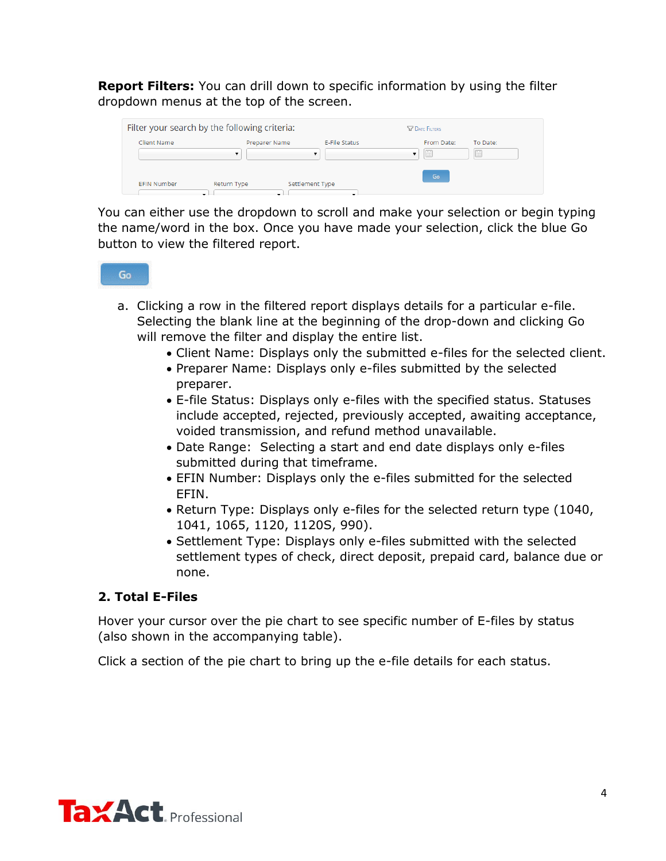**Report Filters:** You can drill down to specific information by using the filter dropdown menus at the top of the screen.

|                    | Filter your search by the following criteria: |                                                 | <b>SZ DATE FILTERS</b> |               |
|--------------------|-----------------------------------------------|-------------------------------------------------|------------------------|---------------|
| Client Name        | Preparer Name<br>▼                            | <b>F-File Status</b><br>$\overline{\mathbf{v}}$ | From Date:             | To Date:<br>Æ |
| <b>EFIN Number</b> | Return Type                                   | Settlement Type<br>-                            | Go                     |               |

You can either use the dropdown to scroll and make your selection or begin typing the name/word in the box. Once you have made your selection, click the blue Go button to view the filtered report.

- a. Clicking a row in the filtered report displays details for a particular e-file. Selecting the blank line at the beginning of the drop-down and clicking Go will remove the filter and display the entire list.
	- Client Name: Displays only the submitted e-files for the selected client.
	- Preparer Name: Displays only e-files submitted by the selected preparer.
	- E-file Status: Displays only e-files with the specified status. Statuses include accepted, rejected, previously accepted, awaiting acceptance, voided transmission, and refund method unavailable.
	- Date Range: Selecting a start and end date displays only e-files submitted during that timeframe.
	- EFIN Number: Displays only the e-files submitted for the selected EFIN.
	- Return Type: Displays only e-files for the selected return type (1040, 1041, 1065, 1120, 1120S, 990).
	- Settlement Type: Displays only e-files submitted with the selected settlement types of check, direct deposit, prepaid card, balance due or none.

## **2. Total E-Files**

Hover your cursor over the pie chart to see specific number of E-files by status (also shown in the accompanying table).

Click a section of the pie chart to bring up the e-file details for each status.

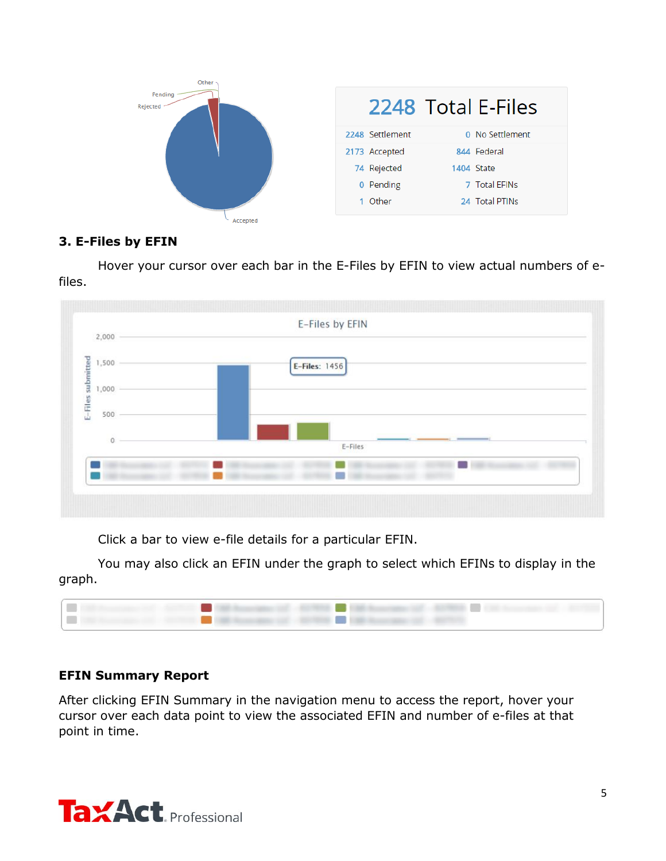

## **3. E-Files by EFIN**

Hover your cursor over each bar in the E-Files by EFIN to view actual numbers of efiles.



Click a bar to view e-file details for a particular EFIN.

You may also click an EFIN under the graph to select which EFINs to display in the graph.



## <span id="page-4-0"></span>**EFIN Summary Report**

After clicking EFIN Summary in the navigation menu to access the report, hover your cursor over each data point to view the associated EFIN and number of e-files at that point in time.

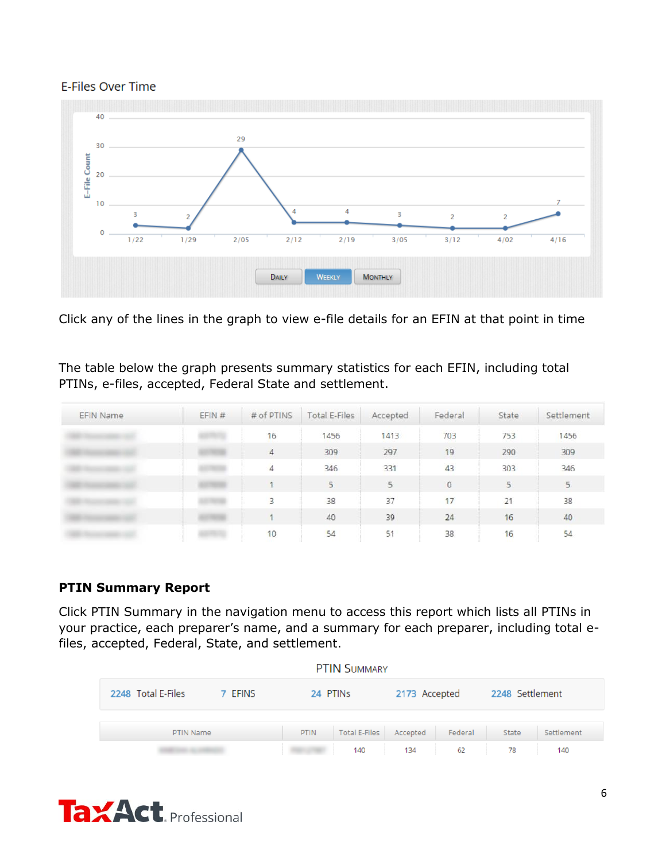#### E-Files Over Time



Click any of the lines in the graph to view e-file details for an EFIN at that point in time

The table below the graph presents summary statistics for each EFIN, including total PTINs, e-files, accepted, Federal State and settlement.

| <b>EFIN Name</b> | EFIN # | # of PTINS | Total E-Files | Accepted | Federal | State | Settlement |
|------------------|--------|------------|---------------|----------|---------|-------|------------|
|                  |        | 16         | 1456          | 1413     | 703     | 753   | 1456       |
|                  |        | 4          | 309           | 297      | 19      | 290   | 309        |
|                  |        | 4          | 346           | 331      | 43      | 303   | 346        |
|                  |        |            | 5             | 5        | $\circ$ | 5     | 5          |
|                  |        | 5          | 38            | 37       | 17      | 21    | 38         |
|                  |        |            | 40            | 39       | 24      | 16    | 40         |
|                  |        | 10         | 54            | 51       | 38      | 16    | 54         |

## **PTIN Summary Report**

Click PTIN Summary in the navigation menu to access this report which lists all PTINs in your practice, each preparer's name, and a summary for each preparer, including total efiles, accepted, Federal, State, and settlement.

<span id="page-5-0"></span>

|                    |         |             | <b>PTIN SUMMARY</b>  |               |         |                 |            |
|--------------------|---------|-------------|----------------------|---------------|---------|-----------------|------------|
| 2248 Total E-Files | 7 EFINS | 24 PTINS    |                      | 2173 Accepted |         | 2248 Settlement |            |
| PTIN Name          |         | <b>PTIN</b> | <b>Total E-Files</b> | Accepted      | Federal | <b>State</b>    | Settlement |
|                    |         |             | 140                  | 134           | 62      | 78              | 140        |

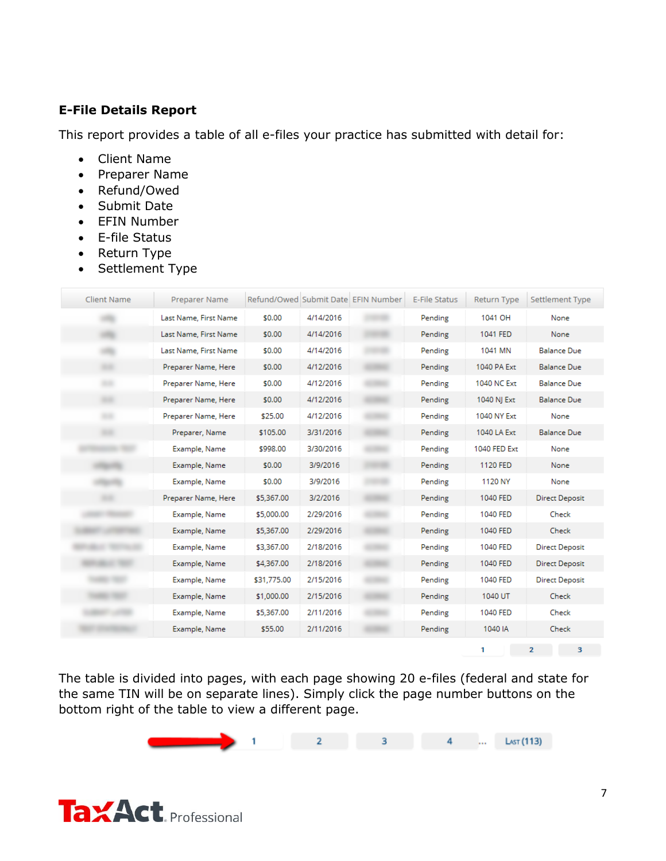## **E-File Details Report**

This report provides a table of all e-files your practice has submitted with detail for:

- <span id="page-6-0"></span>Client Name
- Preparer Name
- Refund/Owed
- Submit Date
- EFIN Number
- E-file Status
- Return Type
- Settlement Type

| <b>Client Name</b> | Preparer Name         |             |           | Refund/Owed Submit Date EFIN Number | <b>E-File Status</b> | <b>Return Type</b> | Settlement Type       |
|--------------------|-----------------------|-------------|-----------|-------------------------------------|----------------------|--------------------|-----------------------|
|                    | Last Name, First Name | \$0.00      | 4/14/2016 |                                     | Pending              | 1041 OH            | None                  |
|                    | Last Name, First Name | \$0.00      | 4/14/2016 |                                     | Pending              | 1041 FED           | None                  |
|                    | Last Name, First Name | \$0.00      | 4/14/2016 |                                     | Pending              | 1041 MN            | <b>Balance Due</b>    |
|                    | Preparer Name, Here   | \$0.00      | 4/12/2016 |                                     | Pending              | 1040 PA Ext        | <b>Balance Due</b>    |
|                    | Preparer Name, Here   | \$0.00      | 4/12/2016 |                                     | Pending              | 1040 NC Ext        | <b>Balance Due</b>    |
|                    | Preparer Name, Here   | \$0.00      | 4/12/2016 |                                     | Pending              | 1040 NJ Ext        | <b>Balance Due</b>    |
|                    | Preparer Name, Here   | \$25.00     | 4/12/2016 |                                     | Pending              | 1040 NY Ext        | None                  |
|                    | Preparer, Name        | \$105.00    | 3/31/2016 |                                     | Pending              | 1040 LA Ext        | <b>Balance Due</b>    |
|                    | Example, Name         | \$998.00    | 3/30/2016 |                                     | Pending              | 1040 FED Ext       | None                  |
|                    | Example, Name         | \$0.00      | 3/9/2016  |                                     | Pending              | 1120 FED           | None                  |
|                    | Example, Name         | \$0.00      | 3/9/2016  |                                     | Pending              | 1120 NY            | None                  |
|                    | Preparer Name, Here   | \$5,367.00  | 3/2/2016  |                                     | Pending              | 1040 FED           | <b>Direct Deposit</b> |
|                    | Example, Name         | \$5,000.00  | 2/29/2016 |                                     | Pending              | 1040 FED           | Check                 |
|                    | Example, Name         | \$5,367.00  | 2/29/2016 |                                     | Pending              | 1040 FED           | Check                 |
|                    | Example, Name         | \$3,367.00  | 2/18/2016 |                                     | Pending              | 1040 FED           | <b>Direct Deposit</b> |
|                    | Example, Name         | \$4,367.00  | 2/18/2016 |                                     | Pending              | 1040 FED           | Direct Deposit        |
|                    | Example, Name         | \$31,775.00 | 2/15/2016 |                                     | Pending              | 1040 FED           | <b>Direct Deposit</b> |
|                    | Example, Name         | \$1,000.00  | 2/15/2016 |                                     | Pending              | 1040 UT            | Check                 |
|                    | Example, Name         | \$5,367.00  | 2/11/2016 |                                     | Pending              | 1040 FED           | Check                 |
|                    | Example, Name         | \$55.00     | 2/11/2016 |                                     | Pending              | 1040 IA            | Check                 |
|                    |                       |             |           |                                     |                      | 1                  | 3<br>$\overline{2}$   |

The table is divided into pages, with each page showing 20 e-files (federal and state for the same TIN will be on separate lines). Simply click the page number buttons on the bottom right of the table to view a different page.



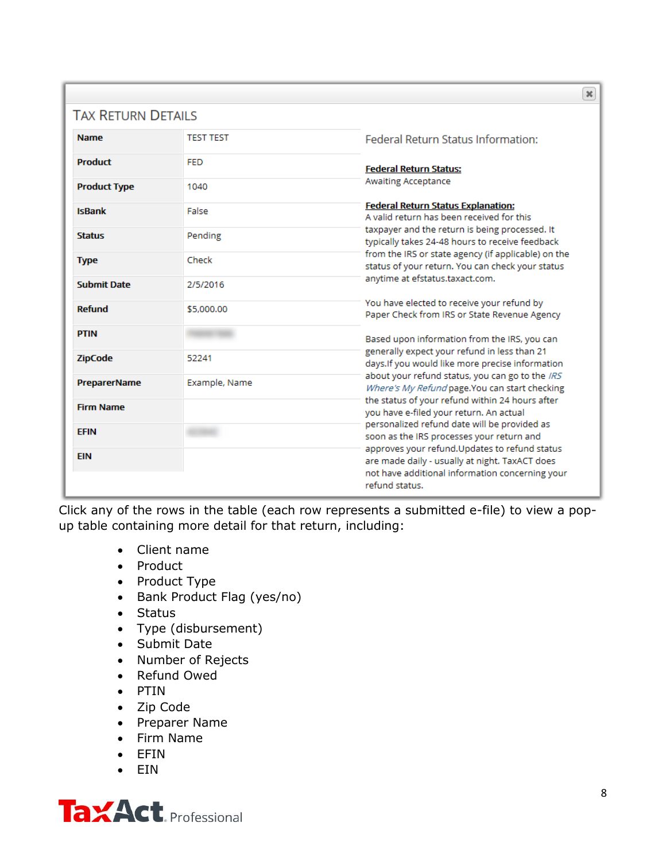|                           |                  | $\pmb{\times}$                                                                                          |
|---------------------------|------------------|---------------------------------------------------------------------------------------------------------|
| <b>TAX RETURN DETAILS</b> |                  |                                                                                                         |
| <b>Name</b>               | <b>TEST TEST</b> | <b>Federal Return Status Information:</b>                                                               |
| <b>Product</b>            | <b>FED</b>       | <b>Federal Return Status:</b>                                                                           |
| <b>Product Type</b>       | 1040             | <b>Awaiting Acceptance</b>                                                                              |
| <b>IsBank</b>             | False            | <b>Federal Return Status Explanation:</b><br>A valid return has been received for this                  |
| <b>Status</b>             | Pending          | taxpayer and the return is being processed. It<br>typically takes 24-48 hours to receive feedback       |
| <b>Type</b>               | Check            | from the IRS or state agency (if applicable) on the<br>status of your return. You can check your status |
| <b>Submit Date</b>        | 2/5/2016         | anytime at efstatus.taxact.com.                                                                         |
| <b>Refund</b>             | \$5,000.00       | You have elected to receive your refund by<br>Paper Check from IRS or State Revenue Agency              |
| <b>PTIN</b>               |                  | Based upon information from the IRS, you can                                                            |
| <b>ZipCode</b>            | 52241            | generally expect your refund in less than 21<br>days.If you would like more precise information         |
| <b>PreparerName</b>       | Example, Name    | about your refund status, you can go to the IRS<br>Where's My Refund page. You can start checking       |
| <b>Firm Name</b>          |                  | the status of your refund within 24 hours after<br>you have e-filed your return. An actual              |
| <b>EFIN</b>               |                  | personalized refund date will be provided as<br>soon as the IRS processes your return and               |
| <b>EIN</b>                |                  | approves your refund. Updates to refund status<br>are made daily - usually at night. TaxACT does        |
|                           |                  | not have additional information concerning your<br>refund status.                                       |

Click any of the rows in the table (each row represents a submitted e-file) to view a popup table containing more detail for that return, including:

- Client name
- Product
- Product Type
- Bank Product Flag (yes/no)
- Status
- Type (disbursement)
- Submit Date
- Number of Rejects
- Refund Owed
- PTIN
- Zip Code
- Preparer Name
- Firm Name
- EFIN
- EIN

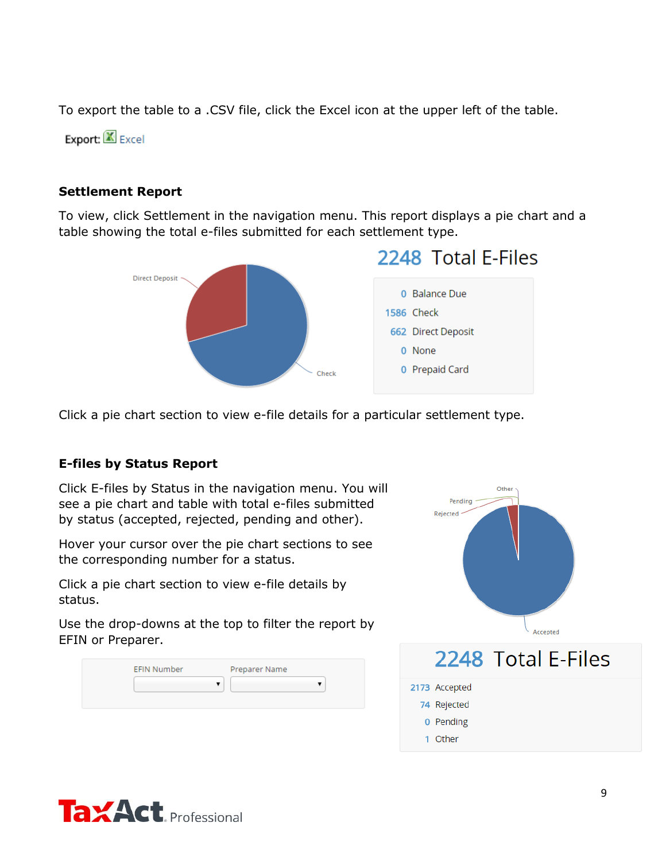To export the table to a .CSV file, click the Excel icon at the upper left of the table.

Export: Excel

## **Settlement Report**

To view, click Settlement in the navigation menu. This report displays a pie chart and a table showing the total e-files submitted for each settlement type.

<span id="page-8-0"></span>

Click a pie chart section to view e-file details for a particular settlement type.

## <span id="page-8-1"></span>**E-files by Status Report**

Click E-files by Status in the navigation menu. You will see a pie chart and table with total e-files submitted by status (accepted, rejected, pending and other).

Hover your cursor over the pie chart sections to see the corresponding number for a status.

Click a pie chart section to view e-file details by status.

Use the drop-downs at the top to filter the report by EFIN or Preparer.

| <b>EFIN Number</b> | Preparer Name |  |
|--------------------|---------------|--|
|                    |               |  |